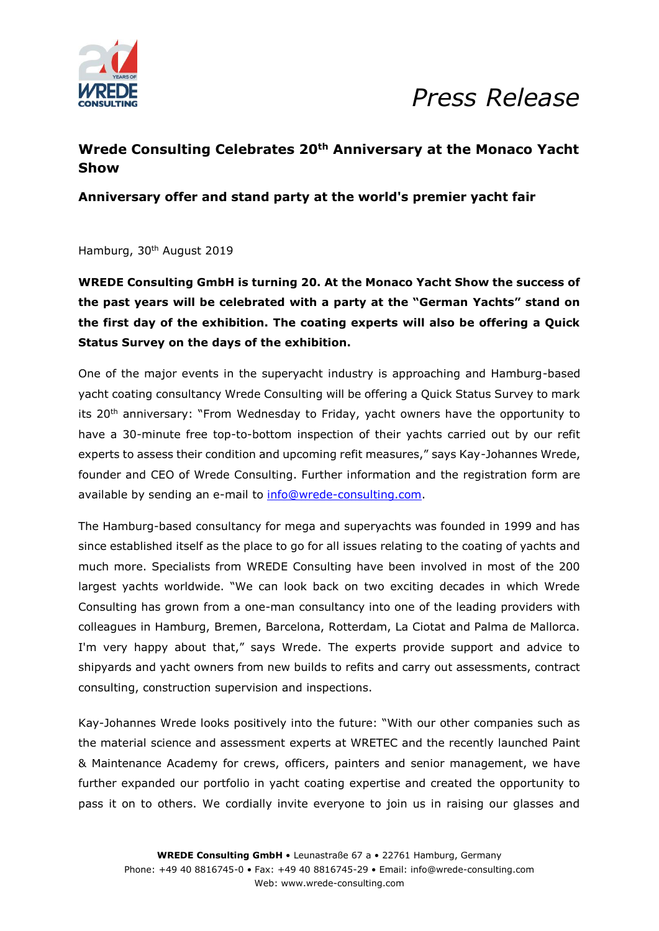

## *Press Release*

### **Wrede Consulting Celebrates 20th Anniversary at the Monaco Yacht Show**

**Anniversary offer and stand party at the world's premier yacht fair**

Hamburg, 30th August 2019

**WREDE Consulting GmbH is turning 20. At the Monaco Yacht Show the success of the past years will be celebrated with a party at the "German Yachts" stand on the first day of the exhibition. The coating experts will also be offering a Quick Status Survey on the days of the exhibition.** 

One of the major events in the superyacht industry is approaching and Hamburg-based yacht coating consultancy Wrede Consulting will be offering a Quick Status Survey to mark its 20<sup>th</sup> anniversary: "From Wednesday to Friday, yacht owners have the opportunity to have a 30-minute free top-to-bottom inspection of their yachts carried out by our refit experts to assess their condition and upcoming refit measures," says Kay-Johannes Wrede, founder and CEO of Wrede Consulting. Further information and the registration form are available by sending an e-mail to [info@wrede-consulting.com.](mailto:info@wrede-consulting.com)

The Hamburg-based consultancy for mega and superyachts was founded in 1999 and has since established itself as the place to go for all issues relating to the coating of yachts and much more. Specialists from WREDE Consulting have been involved in most of the 200 largest yachts worldwide. "We can look back on two exciting decades in which Wrede Consulting has grown from a one-man consultancy into one of the leading providers with colleagues in Hamburg, Bremen, Barcelona, Rotterdam, La Ciotat and Palma de Mallorca. I'm very happy about that," says Wrede. The experts provide support and advice to shipyards and yacht owners from new builds to refits and carry out assessments, contract consulting, construction supervision and inspections.

Kay-Johannes Wrede looks positively into the future: "With our other companies such as the material science and assessment experts at WRETEC and the recently launched Paint & Maintenance Academy for crews, officers, painters and senior management, we have further expanded our portfolio in yacht coating expertise and created the opportunity to pass it on to others. We cordially invite everyone to join us in raising our glasses and